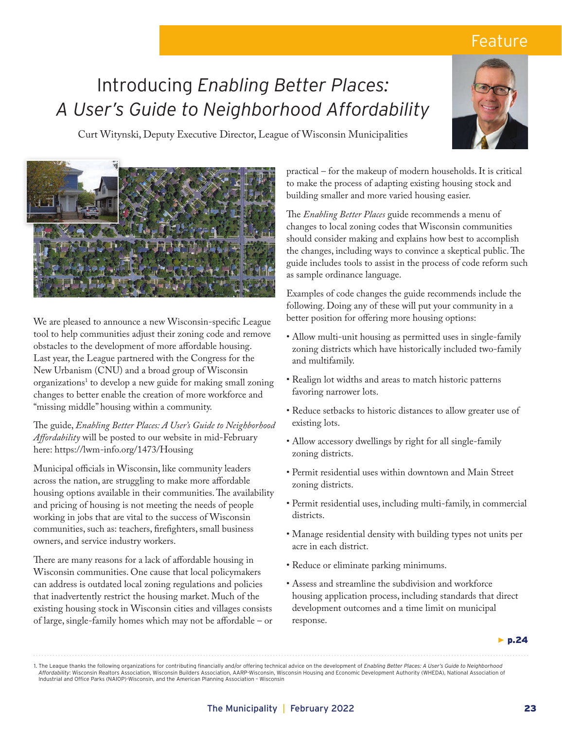## Feature

## Introducing *Enabling Better Places: A User's Guide to Neighborhood Affordability*



Curt Witynski, Deputy Executive Director, League of Wisconsin Municipalities



We are pleased to announce a new Wisconsin-specific League tool to help communities adjust their zoning code and remove obstacles to the development of more affordable housing. Last year, the League partnered with the Congress for the New Urbanism (CNU) and a broad group of Wisconsin organizations<sup>1</sup> to develop a new guide for making small zoning changes to better enable the creation of more workforce and "missing middle" housing within a community.

The guide, *Enabling Better Places: A User's Guide to Neighborhood Affordability* will be posted to our website in mid-February here: https://lwm-info.org/1473/Housing

Municipal officials in Wisconsin, like community leaders across the nation, are struggling to make more affordable housing options available in their communities. The availability and pricing of housing is not meeting the needs of people working in jobs that are vital to the success of Wisconsin communities, such as: teachers, firefighters, small business owners, and service industry workers.

There are many reasons for a lack of affordable housing in Wisconsin communities. One cause that local policymakers can address is outdated local zoning regulations and policies that inadvertently restrict the housing market. Much of the existing housing stock in Wisconsin cities and villages consists of large, single-family homes which may not be affordable – or practical – for the makeup of modern households. It is critical to make the process of adapting existing housing stock and building smaller and more varied housing easier.

The *Enabling Better Places* guide recommends a menu of changes to local zoning codes that Wisconsin communities should consider making and explains how best to accomplish the changes, including ways to convince a skeptical public. The guide includes tools to assist in the process of code reform such as sample ordinance language.

Examples of code changes the guide recommends include the following. Doing any of these will put your community in a better position for offering more housing options:

- Allow multi-unit housing as permitted uses in single-family zoning districts which have historically included two-family and multifamily.
- Realign lot widths and areas to match historic patterns favoring narrower lots.
- Reduce setbacks to historic distances to allow greater use of existing lots.
- Allow accessory dwellings by right for all single-family zoning districts.
- Permit residential uses within downtown and Main Street zoning districts.
- Permit residential uses, including multi-family, in commercial districts.
- Manage residential density with building types not units per acre in each district.
- Reduce or eliminate parking minimums.
- Assess and streamline the subdivision and workforce housing application process, including standards that direct development outcomes and a time limit on municipal response.

*▶* p.24

1. The League thanks the following organizations for contributing financially and/or offering technical advice on the development of *Enabling Better Places: A User's Guide to Neighborhood Affordability*: Wisconsin Realtors Association, Wisconsin Builders Association, AARP-Wisconsin, Wisconsin Housing and Economic Development Authority (WHEDA), National Association of Industrial and Office Parks (NAIOP)-Wisconsin, and the American Planning Association – Wisconsin